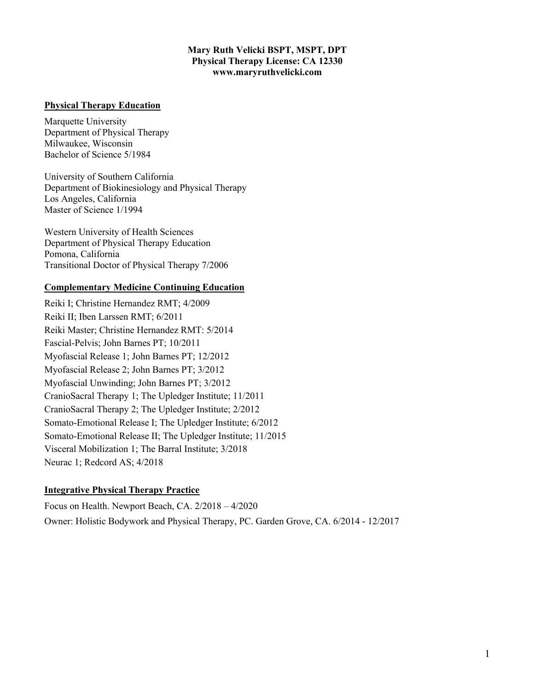#### **Mary Ruth Velicki BSPT, MSPT, DPT Physical Therapy License: CA 12330 www.maryruthvelicki.com**

#### **Physical Therapy Education**

Marquette University Department of Physical Therapy Milwaukee, Wisconsin Bachelor of Science 5/1984

University of Southern California Department of Biokinesiology and Physical Therapy Los Angeles, California Master of Science 1/1994

Western University of Health Sciences Department of Physical Therapy Education Pomona, California Transitional Doctor of Physical Therapy 7/2006

#### **Complementary Medicine Continuing Education**

Reiki I; Christine Hernandez RMT; 4/2009 Reiki II; Iben Larssen RMT; 6/2011 Reiki Master; Christine Hernandez RMT: 5/2014 Fascial-Pelvis; John Barnes PT; 10/2011 Myofascial Release 1; John Barnes PT; 12/2012 Myofascial Release 2; John Barnes PT; 3/2012 Myofascial Unwinding; John Barnes PT; 3/2012 CranioSacral Therapy 1; The Upledger Institute; 11/2011 CranioSacral Therapy 2; The Upledger Institute; 2/2012 Somato-Emotional Release I; The Upledger Institute; 6/2012 Somato-Emotional Release II; The Upledger Institute; 11/2015 Visceral Mobilization 1; The Barral Institute; 3/2018 Neurac 1; Redcord AS; 4/2018

### **Integrative Physical Therapy Practice**

Focus on Health. Newport Beach, CA. 2/2018 – 4/2020 Owner: Holistic Bodywork and Physical Therapy, PC. Garden Grove, CA. 6/2014 - 12/2017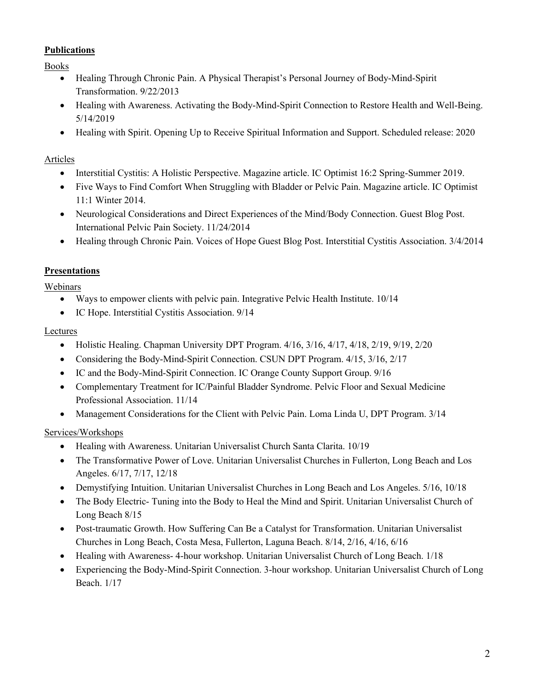### **Publications**

Books

- Healing Through Chronic Pain. A Physical Therapist's Personal Journey of Body-Mind-Spirit Transformation. 9/22/2013
- Healing with Awareness. Activating the Body-Mind-Spirit Connection to Restore Health and Well-Being. 5/14/2019
- Healing with Spirit. Opening Up to Receive Spiritual Information and Support. Scheduled release: 2020

### Articles

- Interstitial Cystitis: A Holistic Perspective. Magazine article. IC Optimist 16:2 Spring-Summer 2019.
- Five Ways to Find Comfort When Struggling with Bladder or Pelvic Pain. Magazine article. IC Optimist 11:1 Winter 2014.
- Neurological Considerations and Direct Experiences of the Mind/Body Connection. Guest Blog Post. International Pelvic Pain Society. 11/24/2014
- Healing through Chronic Pain. Voices of Hope Guest Blog Post. Interstitial Cystitis Association. 3/4/2014

## **Presentations**

Webinars

- Ways to empower clients with pelvic pain. Integrative Pelvic Health Institute. 10/14
- IC Hope. Interstitial Cystitis Association. 9/14

### Lectures

- Holistic Healing. Chapman University DPT Program. 4/16, 3/16, 4/17, 4/18, 2/19, 9/19, 2/20
- Considering the Body-Mind-Spirit Connection. CSUN DPT Program.  $4/15$ ,  $3/16$ ,  $2/17$
- IC and the Body-Mind-Spirit Connection. IC Orange County Support Group. 9/16
- Complementary Treatment for IC/Painful Bladder Syndrome. Pelvic Floor and Sexual Medicine Professional Association. 11/14
- Management Considerations for the Client with Pelvic Pain. Loma Linda U, DPT Program. 3/14

## Services/Workshops

- Healing with Awareness. Unitarian Universalist Church Santa Clarita. 10/19
- The Transformative Power of Love. Unitarian Universalist Churches in Fullerton, Long Beach and Los Angeles. 6/17, 7/17, 12/18
- Demystifying Intuition. Unitarian Universalist Churches in Long Beach and Los Angeles. 5/16, 10/18
- The Body Electric- Tuning into the Body to Heal the Mind and Spirit. Unitarian Universalist Church of Long Beach 8/15
- Post-traumatic Growth. How Suffering Can Be a Catalyst for Transformation. Unitarian Universalist Churches in Long Beach, Costa Mesa, Fullerton, Laguna Beach. 8/14, 2/16, 4/16, 6/16
- Healing with Awareness-4-hour workshop. Unitarian Universalist Church of Long Beach. 1/18
- Experiencing the Body-Mind-Spirit Connection. 3-hour workshop. Unitarian Universalist Church of Long Beach. 1/17